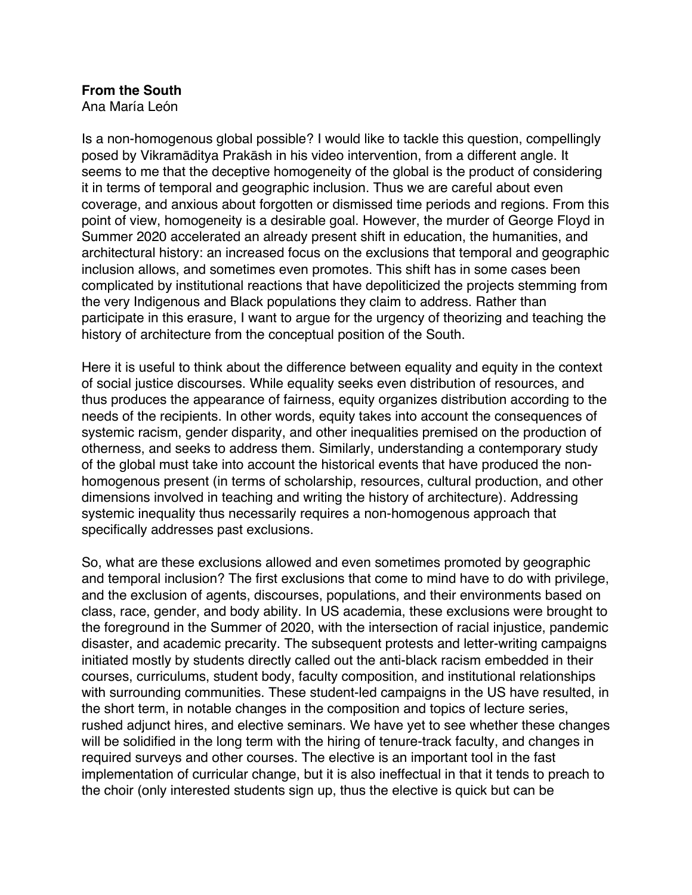## **From the South**

Ana María León

Is a non-homogenous global possible? I would like to tackle this question, compellingly posed by Vikramāditya Prakāsh in his video intervention, from a different angle. It seems to me that the deceptive homogeneity of the global is the product of considering it in terms of temporal and geographic inclusion. Thus we are careful about even coverage, and anxious about forgotten or dismissed time periods and regions. From this point of view, homogeneity is a desirable goal. However, the murder of George Floyd in Summer 2020 accelerated an already present shift in education, the humanities, and architectural history: an increased focus on the exclusions that temporal and geographic inclusion allows, and sometimes even promotes. This shift has in some cases been complicated by institutional reactions that have depoliticized the projects stemming from the very Indigenous and Black populations they claim to address. Rather than participate in this erasure, I want to argue for the urgency of theorizing and teaching the history of architecture from the conceptual position of the South.

Here it is useful to think about the difference between equality and equity in the context of social justice discourses. While equality seeks even distribution of resources, and thus produces the appearance of fairness, equity organizes distribution according to the needs of the recipients. In other words, equity takes into account the consequences of systemic racism, gender disparity, and other inequalities premised on the production of otherness, and seeks to address them. Similarly, understanding a contemporary study of the global must take into account the historical events that have produced the nonhomogenous present (in terms of scholarship, resources, cultural production, and other dimensions involved in teaching and writing the history of architecture). Addressing systemic inequality thus necessarily requires a non-homogenous approach that specifically addresses past exclusions.

So, what are these exclusions allowed and even sometimes promoted by geographic and temporal inclusion? The first exclusions that come to mind have to do with privilege, and the exclusion of agents, discourses, populations, and their environments based on class, race, gender, and body ability. In US academia, these exclusions were brought to the foreground in the Summer of 2020, with the intersection of racial injustice, pandemic disaster, and academic precarity. The subsequent protests and letter-writing campaigns initiated mostly by students directly called out the anti-black racism embedded in their courses, curriculums, student body, faculty composition, and institutional relationships with surrounding communities. These student-led campaigns in the US have resulted, in the short term, in notable changes in the composition and topics of lecture series, rushed adjunct hires, and elective seminars. We have yet to see whether these changes will be solidified in the long term with the hiring of tenure-track faculty, and changes in required surveys and other courses. The elective is an important tool in the fast implementation of curricular change, but it is also ineffectual in that it tends to preach to the choir (only interested students sign up, thus the elective is quick but can be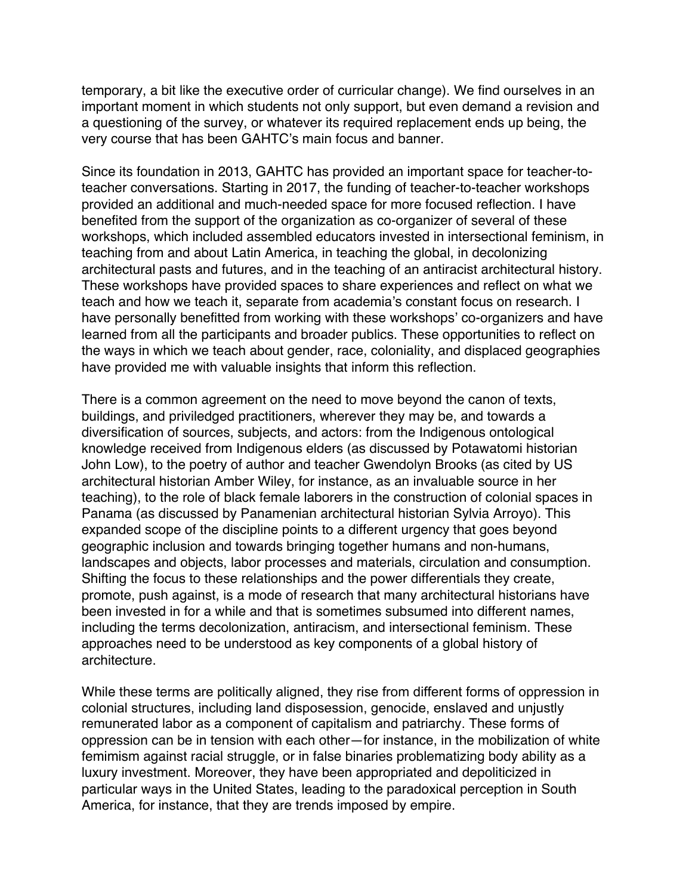temporary, a bit like the executive order of curricular change). We find ourselves in an important moment in which students not only support, but even demand a revision and a questioning of the survey, or whatever its required replacement ends up being, the very course that has been GAHTC's main focus and banner.

Since its foundation in 2013, GAHTC has provided an important space for teacher-toteacher conversations. Starting in 2017, the funding of teacher-to-teacher workshops provided an additional and much-needed space for more focused reflection. I have benefited from the support of the organization as co-organizer of several of these workshops, which included assembled educators invested in intersectional feminism, in teaching from and about Latin America, in teaching the global, in decolonizing architectural pasts and futures, and in the teaching of an antiracist architectural history. These workshops have provided spaces to share experiences and reflect on what we teach and how we teach it, separate from academia's constant focus on research. I have personally benefitted from working with these workshops' co-organizers and have learned from all the participants and broader publics. These opportunities to reflect on the ways in which we teach about gender, race, coloniality, and displaced geographies have provided me with valuable insights that inform this reflection.

There is a common agreement on the need to move beyond the canon of texts, buildings, and priviledged practitioners, wherever they may be, and towards a diversification of sources, subjects, and actors: from the Indigenous ontological knowledge received from Indigenous elders (as discussed by Potawatomi historian John Low), to the poetry of author and teacher Gwendolyn Brooks (as cited by US architectural historian Amber Wiley, for instance, as an invaluable source in her teaching), to the role of black female laborers in the construction of colonial spaces in Panama (as discussed by Panamenian architectural historian Sylvia Arroyo). This expanded scope of the discipline points to a different urgency that goes beyond geographic inclusion and towards bringing together humans and non-humans, landscapes and objects, labor processes and materials, circulation and consumption. Shifting the focus to these relationships and the power differentials they create, promote, push against, is a mode of research that many architectural historians have been invested in for a while and that is sometimes subsumed into different names, including the terms decolonization, antiracism, and intersectional feminism. These approaches need to be understood as key components of a global history of architecture.

While these terms are politically aligned, they rise from different forms of oppression in colonial structures, including land disposession, genocide, enslaved and unjustly remunerated labor as a component of capitalism and patriarchy. These forms of oppression can be in tension with each other—for instance, in the mobilization of white femimism against racial struggle, or in false binaries problematizing body ability as a luxury investment. Moreover, they have been appropriated and depoliticized in particular ways in the United States, leading to the paradoxical perception in South America, for instance, that they are trends imposed by empire.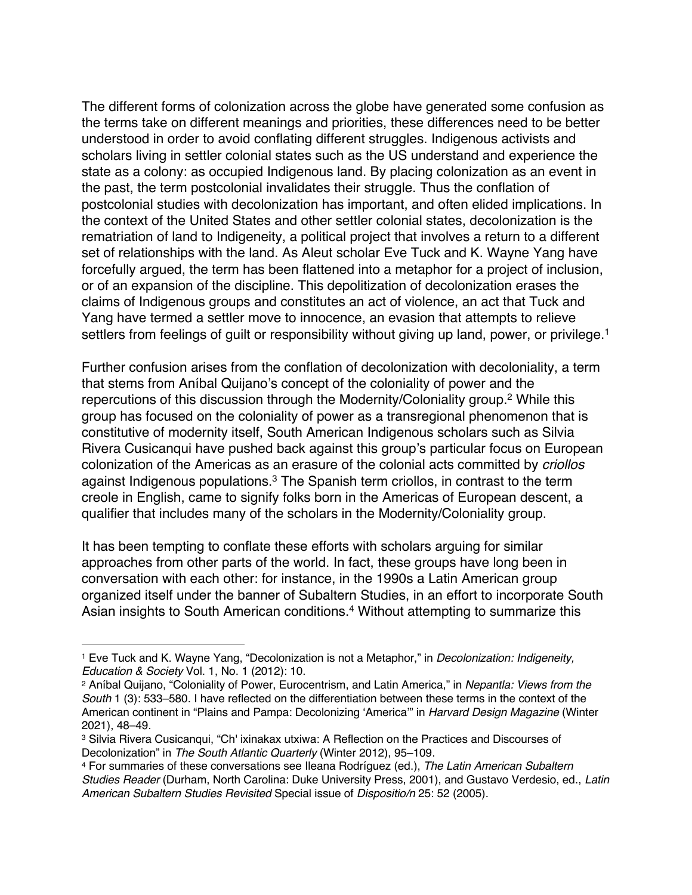The different forms of colonization across the globe have generated some confusion as the terms take on different meanings and priorities, these differences need to be better understood in order to avoid conflating different struggles. Indigenous activists and scholars living in settler colonial states such as the US understand and experience the state as a colony: as occupied Indigenous land. By placing colonization as an event in the past, the term postcolonial invalidates their struggle. Thus the conflation of postcolonial studies with decolonization has important, and often elided implications. In the context of the United States and other settler colonial states, decolonization is the rematriation of land to Indigeneity, a political project that involves a return to a different set of relationships with the land. As Aleut scholar Eve Tuck and K. Wayne Yang have forcefully argued, the term has been flattened into a metaphor for a project of inclusion, or of an expansion of the discipline. This depolitization of decolonization erases the claims of Indigenous groups and constitutes an act of violence, an act that Tuck and Yang have termed a settler move to innocence, an evasion that attempts to relieve settlers from feelings of guilt or responsibility without giving up land, power, or privilege.<sup>1</sup>

Further confusion arises from the conflation of decolonization with decoloniality, a term that stems from Aníbal Quijano's concept of the coloniality of power and the repercutions of this discussion through the Modernity/Coloniality group.2 While this group has focused on the coloniality of power as a transregional phenomenon that is constitutive of modernity itself, South American Indigenous scholars such as Silvia Rivera Cusicanqui have pushed back against this group's particular focus on European colonization of the Americas as an erasure of the colonial acts committed by *criollos* against Indigenous populations.3 The Spanish term criollos, in contrast to the term creole in English, came to signify folks born in the Americas of European descent, a qualifier that includes many of the scholars in the Modernity/Coloniality group.

It has been tempting to conflate these efforts with scholars arguing for similar approaches from other parts of the world. In fact, these groups have long been in conversation with each other: for instance, in the 1990s a Latin American group organized itself under the banner of Subaltern Studies, in an effort to incorporate South Asian insights to South American conditions.4 Without attempting to summarize this

<sup>1</sup> Eve Tuck and K. Wayne Yang, "Decolonization is not a Metaphor," in *Decolonization: Indigeneity, Education & Society* Vol. 1, No. 1 (2012): 10.

<sup>2</sup> Aníbal Quijano, "Coloniality of Power, Eurocentrism, and Latin America," in *Nepantla: Views from the South* 1 (3): 533–580. I have reflected on the differentiation between these terms in the context of the American continent in "Plains and Pampa: Decolonizing 'America'" in *Harvard Design Magazine* (Winter 2021), 48–49.

<sup>3</sup> Silvia Rivera Cusicanqui, "Ch' ixinakax utxiwa: A Reflection on the Practices and Discourses of Decolonization" in *The South Atlantic Quarterly* (Winter 2012), 95–109.

<sup>4</sup> For summaries of these conversations see Ileana Rodríguez (ed.), *The Latin American Subaltern Studies Reader* (Durham, North Carolina: Duke University Press, 2001), and Gustavo Verdesio, ed., *Latin American Subaltern Studies Revisited* Special issue of *Dispositio/n* 25: 52 (2005).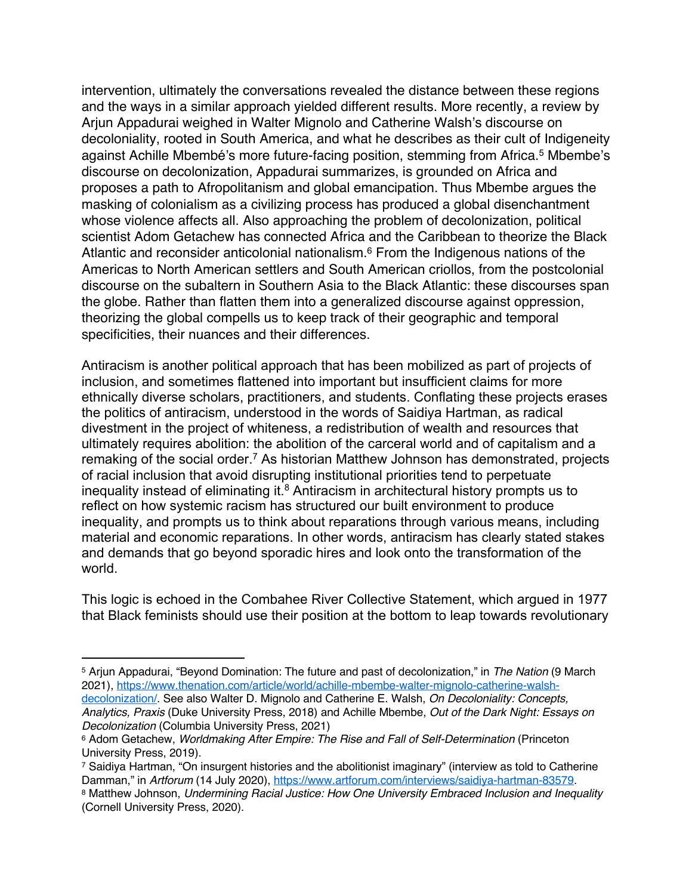intervention, ultimately the conversations revealed the distance between these regions and the ways in a similar approach yielded different results. More recently, a review by Arjun Appadurai weighed in Walter Mignolo and Catherine Walsh's discourse on decoloniality, rooted in South America, and what he describes as their cult of Indigeneity against Achille Mbembé's more future-facing position, stemming from Africa. <sup>5</sup> Mbembe's discourse on decolonization, Appadurai summarizes, is grounded on Africa and proposes a path to Afropolitanism and global emancipation. Thus Mbembe argues the masking of colonialism as a civilizing process has produced a global disenchantment whose violence affects all. Also approaching the problem of decolonization, political scientist Adom Getachew has connected Africa and the Caribbean to theorize the Black Atlantic and reconsider anticolonial nationalism.6 From the Indigenous nations of the Americas to North American settlers and South American criollos, from the postcolonial discourse on the subaltern in Southern Asia to the Black Atlantic: these discourses span the globe. Rather than flatten them into a generalized discourse against oppression, theorizing the global compells us to keep track of their geographic and temporal specificities, their nuances and their differences.

Antiracism is another political approach that has been mobilized as part of projects of inclusion, and sometimes flattened into important but insufficient claims for more ethnically diverse scholars, practitioners, and students. Conflating these projects erases the politics of antiracism, understood in the words of Saidiya Hartman, as radical divestment in the project of whiteness, a redistribution of wealth and resources that ultimately requires abolition: the abolition of the carceral world and of capitalism and a remaking of the social order.<sup>7</sup> As historian Matthew Johnson has demonstrated, projects of racial inclusion that avoid disrupting institutional priorities tend to perpetuate inequality instead of eliminating it. $8$  Antiracism in architectural history prompts us to reflect on how systemic racism has structured our built environment to produce inequality, and prompts us to think about reparations through various means, including material and economic reparations. In other words, antiracism has clearly stated stakes and demands that go beyond sporadic hires and look onto the transformation of the world.

This logic is echoed in the Combahee River Collective Statement, which argued in 1977 that Black feminists should use their position at the bottom to leap towards revolutionary

<sup>5</sup> Arjun Appadurai, "Beyond Domination: The future and past of decolonization," in *The Nation* (9 March 2021), https://www.thenation.com/article/world/achille-mbembe-walter-mignolo-catherine-walshdecolonization/. See also Walter D. Mignolo and Catherine E. Walsh, *On Decoloniality: Concepts,* 

*Analytics, Praxis* (Duke University Press, 2018) and Achille Mbembe, *Out of the Dark Night: Essays on Decolonization* (Columbia University Press, 2021)

<sup>6</sup> Adom Getachew, *Worldmaking After Empire: The Rise and Fall of Self-Determination* (Princeton University Press, 2019).

<sup>&</sup>lt;sup>7</sup> Saidiya Hartman, "On insurgent histories and the abolitionist imaginary" (interview as told to Catherine<br>Damman," in Artforum (14 July 2020), https://www.artforum.com/interviews/saidiya-hartman-83579.

<sup>&</sup>lt;sup>8</sup> Matthew Johnson, *Undermining Racial Justice: How One University Embraced Inclusion and Inequality* (Cornell University Press, 2020).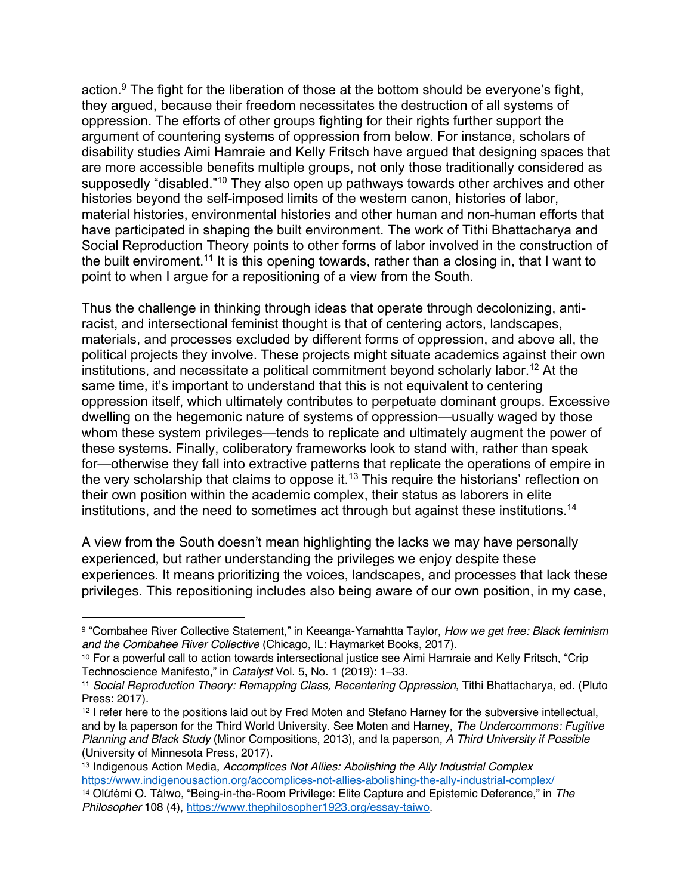action.<sup>9</sup> The fight for the liberation of those at the bottom should be everyone's fight, they argued, because their freedom necessitates the destruction of all systems of oppression. The efforts of other groups fighting for their rights further support the argument of countering systems of oppression from below. For instance, scholars of disability studies Aimi Hamraie and Kelly Fritsch have argued that designing spaces that are more accessible benefits multiple groups, not only those traditionally considered as supposedly "disabled."<sup>10</sup> They also open up pathways towards other archives and other histories beyond the self-imposed limits of the western canon, histories of labor, material histories, environmental histories and other human and non-human efforts that have participated in shaping the built environment. The work of Tithi Bhattacharya and Social Reproduction Theory points to other forms of labor involved in the construction of the built enviroment.<sup>11</sup> It is this opening towards, rather than a closing in, that I want to point to when I argue for a repositioning of a view from the South.

Thus the challenge in thinking through ideas that operate through decolonizing, antiracist, and intersectional feminist thought is that of centering actors, landscapes, materials, and processes excluded by different forms of oppression, and above all, the political projects they involve. These projects might situate academics against their own institutions, and necessitate a political commitment beyond scholarly labor.<sup>12</sup> At the same time, it's important to understand that this is not equivalent to centering oppression itself, which ultimately contributes to perpetuate dominant groups. Excessive dwelling on the hegemonic nature of systems of oppression—usually waged by those whom these system privileges—tends to replicate and ultimately augment the power of these systems. Finally, coliberatory frameworks look to stand with, rather than speak for—otherwise they fall into extractive patterns that replicate the operations of empire in the very scholarship that claims to oppose it.<sup>13</sup> This require the historians' reflection on their own position within the academic complex, their status as laborers in elite institutions, and the need to sometimes act through but against these institutions.<sup>14</sup>

A view from the South doesn't mean highlighting the lacks we may have personally experienced, but rather understanding the privileges we enjoy despite these experiences. It means prioritizing the voices, landscapes, and processes that lack these privileges. This repositioning includes also being aware of our own position, in my case,

<sup>9</sup> "Combahee River Collective Statement," in Keeanga-Yamahtta Taylor, *How we get free: Black feminism and the Combahee River Collective* (Chicago, IL: Haymarket Books, 2017).

<sup>10</sup> For a powerful call to action towards intersectional justice see Aimi Hamraie and Kelly Fritsch, "Crip Technoscience Manifesto," in *Catalyst* Vol. 5, No. 1 (2019): 1–33.

<sup>11</sup> *Social Reproduction Theory: Remapping Class, Recentering Oppression*, Tithi Bhattacharya, ed. (Pluto Press: 2017).

<sup>12</sup> I refer here to the positions laid out by Fred Moten and Stefano Harney for the subversive intellectual, and by la paperson for the Third World University. See Moten and Harney, *The Undercommons: Fugitive Planning and Black Study* (Minor Compositions, 2013), and la paperson, *A Third University if Possible* (University of Minnesota Press, 2017).

<sup>&</sup>lt;sup>13</sup> Indigenous Action Media, *Accomplices Not Allies: Abolishing the Ally Industrial Complex*<br>https://www.indigenousaction.org/accomplices-not-allies-abolishing-the-ally-industrial-complex/ 14 Olúfémi O. Táíwo, "Being-in-the-Room Privilege: Elite Capture and Epistemic Deference," in The *Philosopher* 108 (4), https://www.thephilosopher1923.org/essay-taiwo.